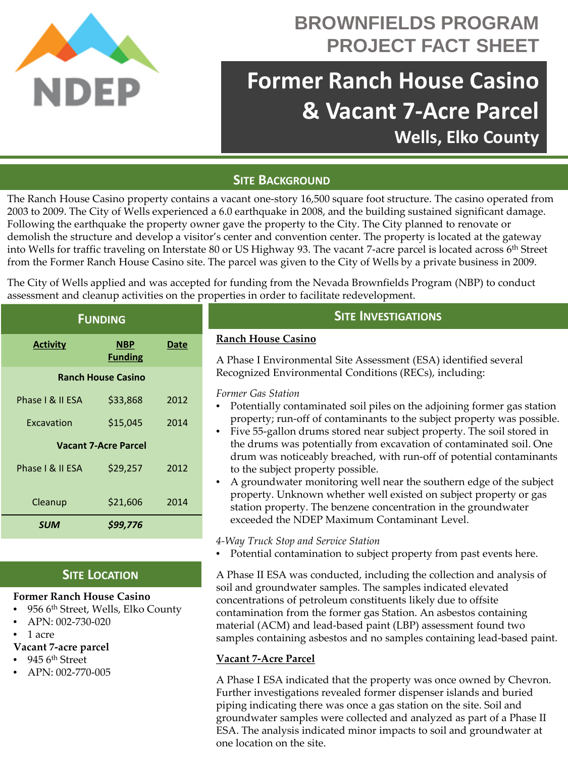

# **BROWNFIELDS PROGRAM PROJECT FACT SHEET**

# **Former Ranch House Casino & Vacant 7-Acre Parcel Wells, Elko County**

# **SITE BACKGROUND**

The Ranch House Casino property contains a vacant one-story 16,500 square foot structure. The casino operated from 2003 to 2009. The City of Wells experienced a 6.0 earthquake in 2008, and the building sustained significant damage. Following the earthquake the property owner gave the property to the City. The City planned to renovate or demolish the structure and develop a visitor's center and convention center. The property is located at the gateway into Wells for traffic traveling on Interstate 80 or US Highway 93. The vacant 7-acre parcel is located across 6<sup>th</sup> Street from the Former Ranch House Casino site. The parcel was given to the City of Wells by a private business in 2009.

The City of Wells applied and was accepted for funding from the Nevada Brownfields Program (NBP) to conduct assessment and cleanup activities on the properties in order to facilitate redevelopment.

| <b>FUNDING</b>              |                              |      |
|-----------------------------|------------------------------|------|
| <b>Activity</b>             | <b>NBP</b><br><b>Funding</b> | Date |
| <b>Ranch House Casino</b>   |                              |      |
| Phase I & II ESA            | \$33,868                     | 2012 |
| Excavation                  | \$15,045                     | 2014 |
| <b>Vacant 7-Acre Parcel</b> |                              |      |
| Phase I & II ESA            | \$29,257                     | 2012 |
| Cleanup                     | \$21,606                     | 2014 |
| <b>SUM</b>                  | \$99,776                     |      |

# **SITE LOCATION**

#### **Former Ranch House Casino**

- 956 6th Street, Wells, Elko County
- APN: 002-730-020
- 1 acre

#### **Vacant 7-acre parcel**

- 945 6<sup>th</sup> Street
- APN: 002-770-005

### **SITE INVESTIGATIONS**

#### **Ranch House Casino**

A Phase I Environmental Site Assessment (ESA) identified several Recognized Environmental Conditions (RECs), including:

#### *Former Gas Station*

- Potentially contaminated soil piles on the adjoining former gas station property; run-off of contaminants to the subject property was possible.
- Five 55-gallon drums stored near subject property. The soil stored in the drums was potentially from excavation of contaminated soil. One drum was noticeably breached, with run-off of potential contaminants to the subject property possible.
- A groundwater monitoring well near the southern edge of the subject property. Unknown whether well existed on subject property or gas station property. The benzene concentration in the groundwater exceeded the NDEP Maximum Contaminant Level.

#### *4-Way Truck Stop and Service Station*

• Potential contamination to subject property from past events here.

A Phase II ESA was conducted, including the collection and analysis of soil and groundwater samples. The samples indicated elevated concentrations of petroleum constituents likely due to offsite contamination from the former gas Station. An asbestos containing material (ACM) and lead-based paint (LBP) assessment found two samples containing asbestos and no samples containing lead-based paint.

#### **Vacant 7-Acre Parcel**

A Phase I ESA indicated that the property was once owned by Chevron. Further investigations revealed former dispenser islands and buried piping indicating there was once a gas station on the site. Soil and groundwater samples were collected and analyzed as part of a Phase II ESA. The analysis indicated minor impacts to soil and groundwater at one location on the site.